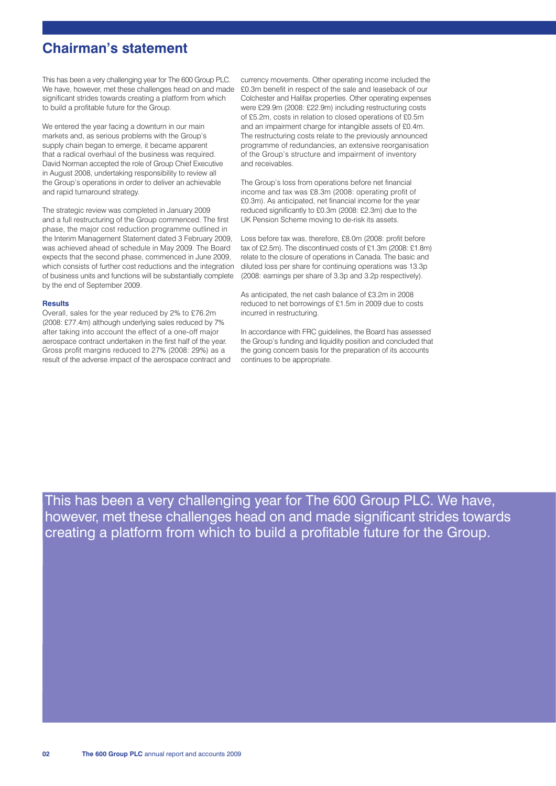## **Chairman's statement**

This has been a very challenging year for The 600 Group PLC. We have, however, met these challenges head on and made significant strides towards creating a platform from which to build a profitable future for the Group.

We entered the year facing a downturn in our main markets and, as serious problems with the Group's supply chain began to emerge, it became apparent that a radical overhaul of the business was required. David Norman accepted the role of Group Chief Executive in August 2008, undertaking responsibility to review all the Group's operations in order to deliver an achievable and rapid turnaround strategy.

The strategic review was completed in January 2009 and a full restructuring of the Group commenced. The first phase, the major cost reduction programme outlined in the Interim Management Statement dated 3 February 2009, was achieved ahead of schedule in May 2009. The Board expects that the second phase, commenced in June 2009, which consists of further cost reductions and the integration of business units and functions will be substantially complete by the end of September 2009.

#### **Results**

Overall, sales for the year reduced by 2% to £76.2m (2008: £77.4m) although underlying sales reduced by 7% after taking into account the effect of a one-off major aerospace contract undertaken in the first half of the year. Gross profit margins reduced to 27% (2008: 29%) as a result of the adverse impact of the aerospace contract and currency movements. Other operating income included the £0.3m benefit in respect of the sale and leaseback of our Colchester and Halifax properties. Other operating expenses were £29.9m (2008: £22.9m) including restructuring costs of £5.2m, costs in relation to closed operations of £0.5m and an impairment charge for intangible assets of £0.4m. The restructuring costs relate to the previously announced programme of redundancies, an extensive reorganisation of the Group's structure and impairment of inventory and receivables.

The Group's loss from operations before net financial income and tax was £8.3m (2008: operating profit of £0.3m). As anticipated, net financial income for the year reduced significantly to £0.3m (2008: £2.3m) due to the UK Pension Scheme moving to de-risk its assets.

Loss before tax was, therefore, £8.0m (2008: profit before tax of £2.5m). The discontinued costs of £1.3m (2008: £1.8m) relate to the closure of operations in Canada. The basic and diluted loss per share for continuing operations was 13.3p (2008: earnings per share of 3.3p and 3.2p respectively).

As anticipated, the net cash balance of £3.2m in 2008 reduced to net borrowings of £1.5m in 2009 due to costs incurred in restructuring.

In accordance with FRC guidelines, the Board has assessed the Group's funding and liquidity position and concluded that the going concern basis for the preparation of its accounts continues to be appropriate.

This has been a very challenging year for The 600 Group PLC. We have, however, met these challenges head on and made significant strides towards creating a platform from which to build a profitable future for the Group.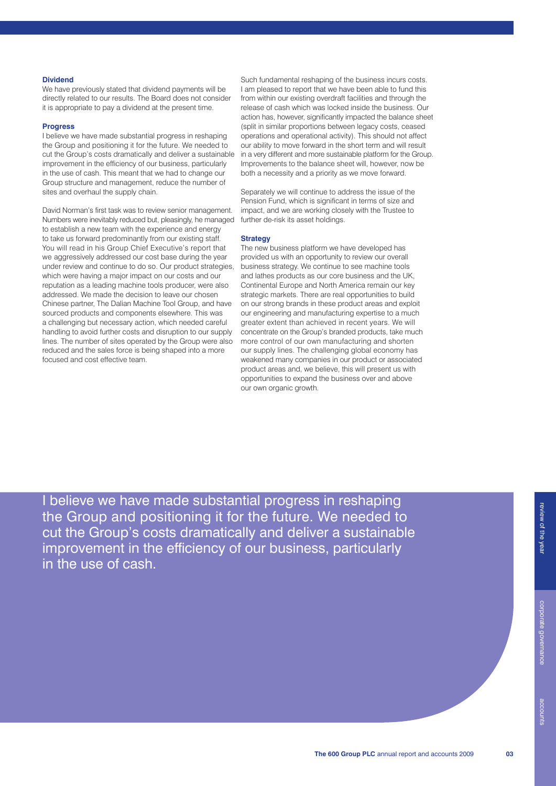## **Dividend**

We have previously stated that dividend payments will be directly related to our results. The Board does not consider it is appropriate to pay a dividend at the present time.

#### **Progress**

I believe we have made substantial progress in reshaping the Group and positioning it for the future. We needed to cut the Group's costs dramatically and deliver a sustainable improvement in the efficiency of our business, particularly in the use of cash. This meant that we had to change our Group structure and management, reduce the number of sites and overhaul the supply chain.

David Norman's first task was to review senior management. Numbers were inevitably reduced but, pleasingly, he managed to establish a new team with the experience and energy to take us forward predominantly from our existing staff. You will read in his Group Chief Executive's report that we aggressively addressed our cost base during the year under review and continue to do so. Our product strategies, which were having a major impact on our costs and our reputation as a leading machine tools producer, were also addressed. We made the decision to leave our chosen Chinese partner, The Dalian Machine Tool Group, and have sourced products and components elsewhere. This was a challenging but necessary action, which needed careful handling to avoid further costs and disruption to our supply lines. The number of sites operated by the Group were also reduced and the sales force is being shaped into a more focused and cost effective team.

Such fundamental reshaping of the business incurs costs. I am pleased to report that we have been able to fund this from within our existing overdraft facilities and through the release of cash which was locked inside the business. Our action has, however, significantly impacted the balance sheet (split in similar proportions between legacy costs, ceased operations and operational activity). This should not affect our ability to move forward in the short term and will result in a very different and more sustainable platform for the Group. Improvements to the balance sheet will, however, now be both a necessity and a priority as we move forward.

Separately we will continue to address the issue of the Pension Fund, which is significant in terms of size and impact, and we are working closely with the Trustee to further de-risk its asset holdings.

## **Strategy**

The new business platform we have developed has provided us with an opportunity to review our overall business strategy. We continue to see machine tools and lathes products as our core business and the UK Continental Europe and North America remain our key strategic markets. There are real opportunities to build on our strong brands in these product areas and exploit our engineering and manufacturing expertise to a much greater extent than achieved in recent years. We will concentrate on the Group's branded products, take much more control of our own manufacturing and shorten our supply lines. The challenging global economy has weakened many companies in our product or associated product areas and, we believe, this will present us with opportunities to expand the business over and above our own organic growth.

I believe we have made substantial progress in reshaping the Group and positioning it for the future. We needed to cut the Group's costs dramatically and deliver a sustainable improvement in the efficiency of our business, particularly in the use of cash.